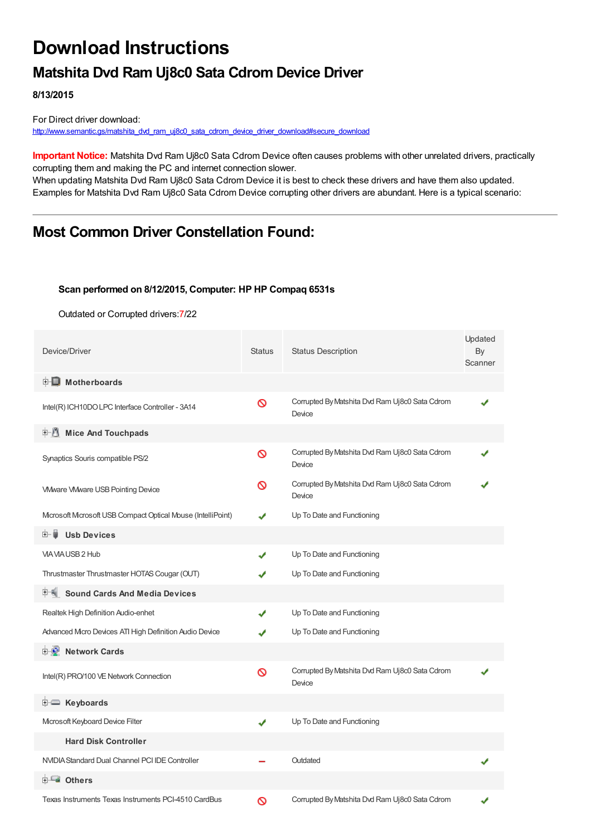# **Download Instructions**

### **Matshita Dvd Ram Uj8c0 Sata Cdrom Device Driver**

**8/13/2015**

For Direct driver download: [http://www.semantic.gs/matshita\\_dvd\\_ram\\_uj8c0\\_sata\\_cdrom\\_device\\_driver\\_download#secure\\_download](http://www.semantic.gs/matshita_dvd_ram_uj8c0_sata_cdrom_device_driver_download#secure_download)

**Important Notice:** Matshita Dvd Ram Uj8c0 Sata Cdrom Device often causes problems with other unrelated drivers, practically corrupting them and making the PC and internet connection slower.

When updating Matshita Dvd Ram Uj8c0 Sata Cdrom Device it is best to check these drivers and have them also updated. Examples for Matshita Dvd Ram Uj8c0 Sata Cdrom Device corrupting other drivers are abundant. Here is a typical scenario:

### **Most Common Driver Constellation Found:**

#### **Scan performed on 8/12/2015, Computer: HP HP Compaq 6531s**

Outdated or Corrupted drivers:7/22

| Device/Driver                                              | <b>Status</b> | <b>Status Description</b>                                | Updated<br>By<br>Scanner |
|------------------------------------------------------------|---------------|----------------------------------------------------------|--------------------------|
| <b>E</b> Motherboards                                      |               |                                                          |                          |
| Intel(R) ICH10DO LPC Interface Controller - 3A14           | Ø             | Corrupted By Matshita Dvd Ram Uj8c0 Sata Cdrom<br>Device |                          |
| <b>Mice And Touchpads</b>                                  |               |                                                          |                          |
| Synaptics Souris compatible PS/2                           | Ø             | Corrupted By Matshita Dvd Ram Uj8c0 Sata Cdrom<br>Device |                          |
| <b>VMware VMware USB Pointing Device</b>                   | ∾             | Corrupted By Matshita Dvd Ram Uj8c0 Sata Cdrom<br>Device |                          |
| Mcrosoft Mcrosoft USB Compact Optical Mouse (IntelliPoint) |               | Up To Date and Functioning                               |                          |
| <b>Usb Devices</b><br>⊞… ∎                                 |               |                                                          |                          |
| VIA VIA USB 2 Hub                                          |               | Up To Date and Functioning                               |                          |
| Thrustmaster Thrustmaster HOTAS Cougar (OUT)               |               | Up To Date and Functioning                               |                          |
| <b>Sound Cards And Media Devices</b><br>田一輔                |               |                                                          |                          |
| Realtek High Definition Audio-enhet                        | ✔             | Up To Date and Functioning                               |                          |
| Advanced Micro Devices ATI High Definition Audio Device    |               | Up To Date and Functioning                               |                          |
| <b>Network Cards</b><br>⊞''≞L                              |               |                                                          |                          |
| Intel(R) PRO/100 VE Network Connection                     | Ø             | Corrupted By Matshita Dvd Ram Uj8c0 Sata Cdrom<br>Device |                          |
| <b>E</b> Keyboards                                         |               |                                                          |                          |
| Mcrosoft Keyboard Device Filter                            | ✔             | Up To Date and Functioning                               |                          |
| <b>Hard Disk Controller</b>                                |               |                                                          |                          |
| NVIDIA Standard Dual Channel PCI IDE Controller            |               | Outdated                                                 |                          |
| 白一■ Others                                                 |               |                                                          |                          |
| Texas Instruments Texas Instruments PCI-4510 CardBus       | ര             | Corrupted By Matshita Dvd Ram Uj8c0 Sata Cdrom           |                          |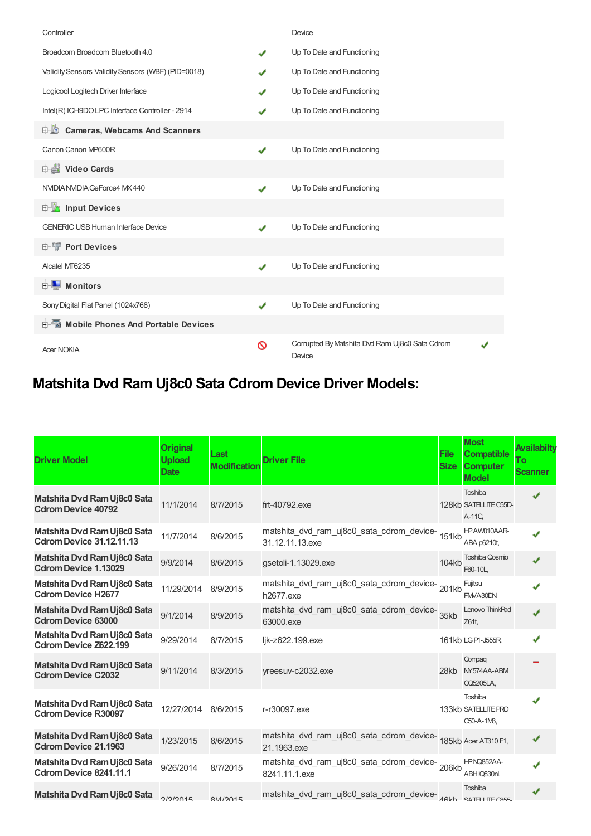| Controller                                         |   | Device                                                   |  |
|----------------------------------------------------|---|----------------------------------------------------------|--|
| Broadcom Broadcom Bluetooth 4.0                    | ✔ | Up To Date and Functioning                               |  |
| Validity Sensors Validity Sensors (WBF) (PID=0018) | J | Up To Date and Functioning                               |  |
| Logicool Logitech Driver Interface                 | J | Up To Date and Functioning                               |  |
| Intel(R) ICH9DO LPC Interface Controller - 2914    |   | Up To Date and Functioning                               |  |
| <b>D</b> Cameras, Webcams And Scanners             |   |                                                          |  |
| Canon Canon MP600R                                 | ✔ | Up To Date and Functioning                               |  |
| Video Cards                                        |   |                                                          |  |
| NVIDIA NVIDIA GeForce4 MX 440                      | ✔ | Up To Date and Functioning                               |  |
| <b>Devices</b> Input Devices                       |   |                                                          |  |
| <b>GENERIC USB Human Interface Device</b>          | ✔ | Up To Date and Functioning                               |  |
| <b>E-17 Port Devices</b>                           |   |                                                          |  |
| Alcatel MT6235                                     | ✔ | Up To Date and Functioning                               |  |
| <b>D</b> Monitors                                  |   |                                                          |  |
| Sony Digital Flat Panel (1024x768)                 | ✔ | Up To Date and Functioning                               |  |
| <b>E-6</b> Mobile Phones And Portable Devices      |   |                                                          |  |
| <b>Acer NOKIA</b>                                  | ര | Corrupted By Matshita Dvd Ram Uj8c0 Sata Cdrom<br>Device |  |

## **Matshita Dvd Ram Uj8c0 Sata Cdrom Device Driver Models:**

| <b>Driver Model</b>                                            | <b>Original</b><br><b>Upload</b><br><b>Date</b> | Last<br><b>Modification</b> | <b>Driver File</b>                                                               | File<br><b>Size</b> | <b>Most</b><br><b>Compatible</b><br><b>Computer</b><br><b>Model</b> | Availabilty<br>To<br><b>Scanner</b> |
|----------------------------------------------------------------|-------------------------------------------------|-----------------------------|----------------------------------------------------------------------------------|---------------------|---------------------------------------------------------------------|-------------------------------------|
| Matshita Dvd Ram Uj8c0 Sata<br><b>Cdrom Device 40792</b>       | 11/1/2014                                       | 8/7/2015                    | frt-40792.exe                                                                    |                     | Toshiba<br>128kb SATELLITE C55D-<br>A-11C,                          | ✔                                   |
| Matshita Dvd Ram Uj8c0 Sata<br><b>Cdrom Device 31.12.11.13</b> | 11/7/2014                                       | 8/6/2015                    | matshita_dvd_ram_uj8c0_sata_cdrom_device-<br>151kb<br>31.12.11.13.exe            |                     | HPAW010AAR-<br>ABA p6210t,                                          | J                                   |
| Matshita Dvd Ram Uj8c0 Sata<br><b>Cdrom Device 1.13029</b>     | 9/9/2014                                        | 8/6/2015                    | gsetoli-1.13029.exe                                                              | 104kb               | <b>Toshiba Qosmo</b><br>F60-10L.                                    |                                     |
| Matshita Dvd Ram Uj8c0 Sata<br><b>Cdrom Device H2677</b>       | 11/29/2014                                      | 8/9/2015                    | matshita_dvd_ram_uj8c0_sata_cdrom_device-201kb<br>h2677.exe                      |                     | Fujitsu<br>FMVA30DN,                                                |                                     |
| Matshita Dvd Ram Uj8c0 Sata<br><b>Cdrom Device 63000</b>       | 9/1/2014                                        | 8/9/2015                    | matshita_dvd_ram_uj8c0_sata_cdrom_device-<br>35kb<br>63000.exe                   |                     | Lenovo ThinkPad<br>Z61t,                                            | J                                   |
| Matshita Dvd Ram Uj8c0 Sata<br><b>Cdrom Device Z622.199</b>    | 9/29/2014                                       | 8/7/2015                    | lik-z622.199.exe                                                                 |                     | 161kb LGP1-J555R                                                    |                                     |
| Matshita Dvd Ram Uj8c0 Sata<br><b>Cdrom Device C2032</b>       | 9/11/2014                                       | 8/3/2015                    | yreesuv-c2032.exe                                                                |                     | Compag<br>28kb NY574AA-ABM<br><b>CQ5205LA,</b>                      |                                     |
| Matshita Dvd Ram Uj8c0 Sata<br><b>Cdrom Device R30097</b>      | 12/27/2014                                      | 8/6/2015                    | r-r30097.exe                                                                     |                     | Toshiba<br>133kb SATELLITE PRO<br>C50-A-1M3,                        |                                     |
| Matshita Dvd Ram Uj8c0 Sata<br><b>Cdrom Device 21.1963</b>     | 1/23/2015                                       | 8/6/2015                    | matshita_dvd_ram_uj8c0_sata_cdrom_device-<br>185kb Acer AT310 F1,<br>21.1963.exe |                     |                                                                     |                                     |
| Matshita Dvd Ram Uj8c0 Sata<br>Cdrom Device 8241.11.1          | 9/26/2014                                       | 8/7/2015                    | matshita_dvd_ram_uj8c0_sata_cdrom_device-206kb<br>8241.11.1.exe                  |                     | HPNQ852AA-<br>ABH IQ830nl,                                          |                                     |
| Matshita Dvd Ram Uj8c0 Sata                                    | 2/2/2015                                        | R112015                     | matshita_dvd_ram_uj8c0_sata_cdrom_device-ARLA exTELITEORE                        |                     | Toshiba                                                             |                                     |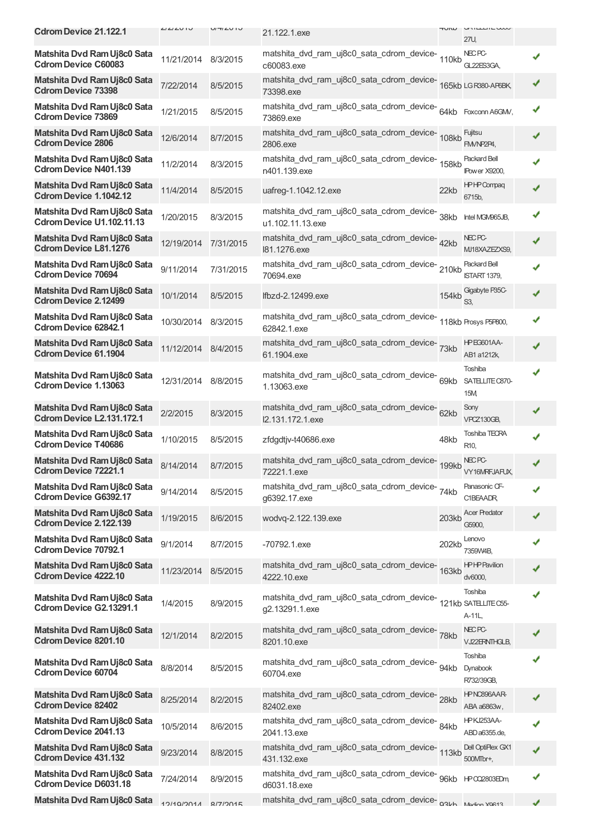| <b>Cdrom Device 21.122.1</b>                                    | <b>LILILUIU</b>     | $U/H/LU$ I J | 21.122.1.exe                                                                      | HUNU  | UNILLLILWUV<br>27U.                     |   |
|-----------------------------------------------------------------|---------------------|--------------|-----------------------------------------------------------------------------------|-------|-----------------------------------------|---|
| Matshita Dvd Ram Uj8c0 Sata<br><b>Cdrom Device C60083</b>       | 11/21/2014          | 8/3/2015     | matshita_dvd_ram_uj8c0_sata_cdrom_device-<br>110kb<br>c60083.exe                  |       | NEC <sub>PC</sub><br>GL22ES3GA.         |   |
| Matshita Dvd Ram Uj8c0 Sata<br><b>Cdrom Device 73398</b>        | 7/22/2014           | 8/5/2015     | matshita_dvd_ram_uj8c0_sata_cdrom_device-<br>165kb LGR380-AF6BK,<br>73398.exe     |       |                                         | ✔ |
| Matshita Dvd Ram Uj8c0 Sata<br><b>Cdrom Device 73869</b>        | 1/21/2015           | 8/5/2015     | matshita_dvd_ram_uj8c0_sata_cdrom_device-<br>64kb Foxconn A6GMV,<br>73869.exe     |       |                                         | ✔ |
| Matshita Dvd Ram Uj8c0 Sata<br><b>Cdrom Device 2806</b>         | 12/6/2014           | 8/7/2015     | matshita_dvd_ram_uj8c0_sata_cdrom_device-<br>108kb<br>2806.exe                    |       | Fujitsu<br>FM/NP2P4.                    | ✔ |
| Matshita Dvd Ram Uj8c0 Sata<br><b>Cdrom Device N401.139</b>     | 11/2/2014           | 8/3/2015     | matshita_dvd_ram_uj8c0_sata_cdrom_device-<br>158kb<br>n401.139.exe                |       | Packard Bell<br><b>IPower X9200,</b>    |   |
| Matshita Dvd Ram Uj8c0 Sata<br>Cdrom Device 1.1042.12           | 11/4/2014           | 8/5/2015     | uafreg-1.1042.12.exe                                                              | 22kb  | <b>HPHPCompaq</b><br>6715b,             |   |
| Matshita Dvd Ram Uj8c0 Sata<br><b>Cdrom Device U1.102.11.13</b> | 1/20/2015           | 8/3/2015     | matshita_dvd_ram_uj8c0_sata_cdrom_device-<br>38kb<br>u1.102.11.13.exe             |       | Intel MGM965JB,                         |   |
| Matshita Dvd Ram Uj8c0 Sata<br><b>Cdrom Device L81.1276</b>     | 12/19/2014          | 7/31/2015    | matshita_dvd_ram_uj8c0_sata_cdrom_device-42kb<br>181.1276.exe                     |       | <b>NECPC-</b><br>MJ18XAZEZXS9,          | ✔ |
| Matshita Dvd Ram Uj8c0 Sata<br><b>Cdrom Device 70694</b>        | 9/11/2014           | 7/31/2015    | matshita_dvd_ram_uj8c0_sata_cdrom_device-210kb<br>70694.exe                       |       | Packard Bell<br><b>ISTART 1379,</b>     |   |
| Matshita Dvd Ram Uj8c0 Sata<br><b>Cdrom Device 2.12499</b>      | 10/1/2014           | 8/5/2015     | lfbzd-2.12499.exe                                                                 | 154kb | Gigabyte P35C-<br>S3.                   |   |
| Matshita Dvd Ram Uj8c0 Sata<br><b>Cdrom Device 62842.1</b>      | 10/30/2014          | 8/3/2015     | matshita_dvd_ram_uj8c0_sata_cdrom_device-<br>118kb Prosys P5P800,<br>62842.1.exe  |       |                                         |   |
| Matshita Dvd Ram Uj8c0 Sata<br><b>Cdrom Device 61.1904</b>      | 11/12/2014 8/4/2015 |              | matshita_dvd_ram_uj8c0_sata_cdrom_device-<br>73kb<br>61.1904.exe                  |       | HPEG601AA-<br>AB1 a1212k,               |   |
| Matshita Dvd Ram Uj8c0 Sata<br><b>Cdrom Device 1.13063</b>      | 12/31/2014 8/8/2015 |              | matshita_dvd_ram_uj8c0_sata_cdrom_device-69kb<br>1.13063.exe                      |       | Toshiba<br>SATELLITE C870-<br>15M,      |   |
| Matshita Dvd Ram Uj8c0 Sata<br><b>Cdrom Device L2.131.172.1</b> | 2/2/2015            | 8/3/2015     | matshita_dvd_ram_uj8c0_sata_cdrom_device-62kb<br>I2.131.172.1.exe                 |       | Sony<br>VPCZ130GB,                      | ✔ |
| Matshita Dvd Ram Uj8c0 Sata<br><b>Cdrom Device T40686</b>       | 1/10/2015           | 8/5/2015     | zfdgdtjv-t40686.exe                                                               | 48kb  | <b>Toshiba TECRA</b><br>R <sub>10</sub> |   |
| Matshita Dvd Ram Uj8c0 Sata<br><b>Cdrom Device 72221.1</b>      | 8/14/2014           | 8/7/2015     | matshita_dvd_ram_uj8c0_sata_cdrom_device-<br>199kb<br>72221.1.exe                 |       | <b>NEC PC-</b><br>VY16MRFJAFUX,         |   |
| Matshita Dvd Ram Uj8c0 Sata<br><b>Cdrom Device G6392.17</b>     | 9/14/2014           | 8/5/2015     | matshita_dvd_ram_uj8c0_sata_cdrom_device-74kb<br>a6392.17.exe                     |       | Panasonic CF-<br>C1BEAADR,              |   |
| Matshita Dvd Ram Uj8c0 Sata<br>Cdrom Device 2.122.139           | 1/19/2015           | 8/6/2015     | wodvq-2.122.139.exe                                                               | 203kb | <b>Acer Predator</b><br>G5900,          |   |
| Matshita Dvd Ram Uj8c0 Sata<br><b>Cdrom Device 70792.1</b>      | 9/1/2014            | 8/7/2015     | $-70792.1$ .exe                                                                   | 202kb | Lenovo<br>7359W4B                       |   |
| Matshita Dvd Ram Uj8c0 Sata<br><b>Cdrom Device 4222.10</b>      | 11/23/2014          | 8/5/2015     | matshita_dvd_ram_uj8c0_sata_cdrom_device-<br>163kb<br>4222.10.exe                 |       | <b>HPHPPavilion</b><br>dv6000,          |   |
| Matshita Dvd Ram Uj8c0 Sata<br>Cdrom Device G2.13291.1          | 1/4/2015            | 8/9/2015     | matshita_dvd_ram_uj8c0_sata_cdrom_device-<br>121kb SATELITEC55-<br>g2.13291.1.exe |       | Toshiba<br>A-11L,                       |   |
| Matshita Dvd Ram Uj8c0 Sata<br><b>Cdrom Device 8201.10</b>      | 12/1/2014           | 8/2/2015     | matshita_dvd_ram_uj8c0_sata_cdrom_device-<br>78kb<br>8201.10.exe                  |       | <b>NECPC-</b><br>VJ22ERNTHGLB,          |   |
| Matshita Dvd Ram Uj8c0 Sata<br><b>Cdrom Device 60704</b>        | 8/8/2014            | 8/5/2015     | matshita_dvd_ram_uj8c0_sata_cdrom_device-<br>60704.exe                            | 94kb  | Toshiba<br>Dynabook<br>R732/39GB,       |   |
| Matshita Dvd Ram Uj8c0 Sata<br><b>Cdrom Device 82402</b>        | 8/25/2014           | 8/2/2015     | matshita_dvd_ram_uj8c0_sata_cdrom_device-28kb<br>82402.exe                        |       | HPNC896AAR-<br>ABA a6863w,              |   |
| Matshita Dvd Ram Uj8c0 Sata<br><b>Cdrom Device 2041.13</b>      | 10/5/2014           | 8/6/2015     | matshita_dvd_ram_uj8c0_sata_cdrom_device-84kb<br>2041.13.exe                      |       | HPKJ253AA-<br>ABD a6355.de,             |   |
| Matshita Dvd Ram Uj8c0 Sata<br><b>Cdrom Device 431.132</b>      | 9/23/2014           | 8/8/2015     | matshita_dvd_ram_uj8c0_sata_cdrom_device-<br>113kb<br>431.132.exe                 |       | Dell OptiPlex GX1<br>500MTbr+,          |   |
| Matshita Dvd Ram Uj8c0 Sata<br><b>Cdrom Device D6031.18</b>     | 7/24/2014           | 8/9/2015     | matshita_dvd_ram_uj8c0_sata_cdrom_device- 96kb<br>d6031.18.exe                    |       | HP 002803EDm                            | ✔ |
| Matshita Dvd Ram Uj8c0 Sata                                     | 12/10/2011          | Q/7/2015     | matshita_dvd_ram_uj8c0_sata_cdrom_device- 03Lb Modion YOR13                       |       |                                         |   |